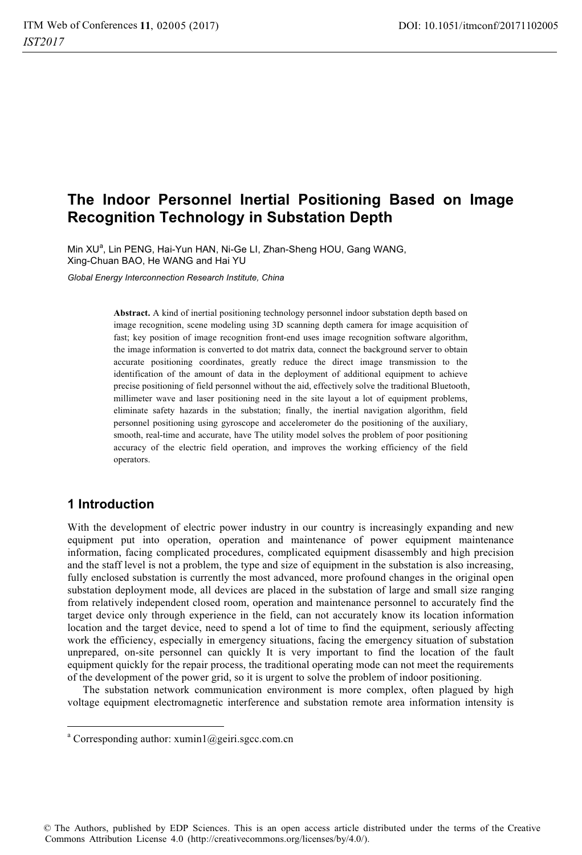# **The Indoor Personnel Inertial Positioning Based on Image Recognition Technology in Substation Depth**

Min XU<sup>a</sup>, Lin PENG, Hai-Yun HAN, Ni-Ge LI, Zhan-Sheng HOU, Gang WANG, Xing-Chuan BAO, He WANG and Hai YU

*Global Energy Interconnection Research Institute, China* 

**Abstract.** A kind of inertial positioning technology personnel indoor substation depth based on image recognition, scene modeling using 3D scanning depth camera for image acquisition of fast; key position of image recognition front-end uses image recognition software algorithm, the image information is converted to dot matrix data, connect the background server to obtain accurate positioning coordinates, greatly reduce the direct image transmission to the identification of the amount of data in the deployment of additional equipment to achieve precise positioning of field personnel without the aid, effectively solve the traditional Bluetooth, millimeter wave and laser positioning need in the site layout a lot of equipment problems, eliminate safety hazards in the substation; finally, the inertial navigation algorithm, field personnel positioning using gyroscope and accelerometer do the positioning of the auxiliary, smooth, real-time and accurate, have The utility model solves the problem of poor positioning accuracy of the electric field operation, and improves the working efficiency of the field operators.

## **1 Introduction**

 $\overline{a}$ 

With the development of electric power industry in our country is increasingly expanding and new equipment put into operation, operation and maintenance of power equipment maintenance information, facing complicated procedures, complicated equipment disassembly and high precision and the staff level is not a problem, the type and size of equipment in the substation is also increasing, fully enclosed substation is currently the most advanced, more profound changes in the original open substation deployment mode, all devices are placed in the substation of large and small size ranging from relatively independent closed room, operation and maintenance personnel to accurately find the target device only through experience in the field, can not accurately know its location information location and the target device, need to spend a lot of time to find the equipment, seriously affecting work the efficiency, especially in emergency situations, facing the emergency situation of substation unprepared, on-site personnel can quickly It is very important to find the location of the fault equipment quickly for the repair process, the traditional operating mode can not meet the requirements of the development of the power grid, so it is urgent to solve the problem of indoor positioning.

The substation network communication environment is more complex, often plagued by high voltage equipment electromagnetic interference and substation remote area information intensity is

© The Authors, published by EDP Sciences. This is an open access article distributed under the terms of the Creative Commons Attribution License 4.0 (http://creativecommons.org/licenses/by/4.0/).

<sup>&</sup>lt;sup>a</sup> Corresponding author: xumin1@geiri.sgcc.com.cn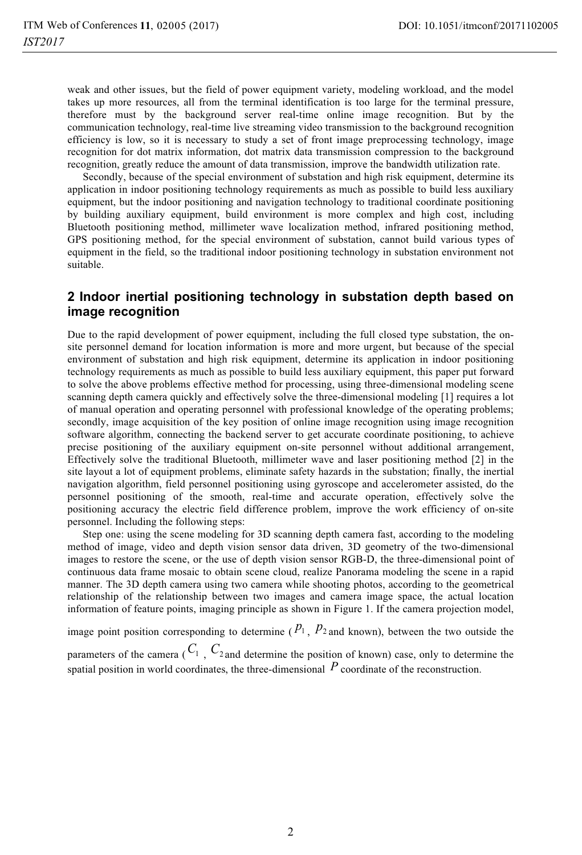weak and other issues, but the field of power equipment variety, modeling workload, and the model takes up more resources, all from the terminal identification is too large for the terminal pressure, therefore must by the background server real-time online image recognition. But by the communication technology, real-time live streaming video transmission to the background recognition efficiency is low, so it is necessary to study a set of front image preprocessing technology, image recognition for dot matrix information, dot matrix data transmission compression to the background recognition, greatly reduce the amount of data transmission, improve the bandwidth utilization rate.

Secondly, because of the special environment of substation and high risk equipment, determine its application in indoor positioning technology requirements as much as possible to build less auxiliary equipment, but the indoor positioning and navigation technology to traditional coordinate positioning by building auxiliary equipment, build environment is more complex and high cost, including Bluetooth positioning method, millimeter wave localization method, infrared positioning method, GPS positioning method, for the special environment of substation, cannot build various types of equipment in the field, so the traditional indoor positioning technology in substation environment not suitable.

### **2 Indoor inertial positioning technology in substation depth based on image recognition**

Due to the rapid development of power equipment, including the full closed type substation, the onsite personnel demand for location information is more and more urgent, but because of the special environment of substation and high risk equipment, determine its application in indoor positioning technology requirements as much as possible to build less auxiliary equipment, this paper put forward to solve the above problems effective method for processing, using three-dimensional modeling scene scanning depth camera quickly and effectively solve the three-dimensional modeling [1] requires a lot of manual operation and operating personnel with professional knowledge of the operating problems; secondly, image acquisition of the key position of online image recognition using image recognition software algorithm, connecting the backend server to get accurate coordinate positioning, to achieve precise positioning of the auxiliary equipment on-site personnel without additional arrangement, Effectively solve the traditional Bluetooth, millimeter wave and laser positioning method [2] in the site layout a lot of equipment problems, eliminate safety hazards in the substation; finally, the inertial navigation algorithm, field personnel positioning using gyroscope and accelerometer assisted, do the personnel positioning of the smooth, real-time and accurate operation, effectively solve the positioning accuracy the electric field difference problem, improve the work efficiency of on-site personnel. Including the following steps:

Step one: using the scene modeling for 3D scanning depth camera fast, according to the modeling method of image, video and depth vision sensor data driven, 3D geometry of the two-dimensional images to restore the scene, or the use of depth vision sensor RGB-D, the three-dimensional point of continuous data frame mosaic to obtain scene cloud, realize Panorama modeling the scene in a rapid manner. The 3D depth camera using two camera while shooting photos, according to the geometrical relationship of the relationship between two images and camera image space, the actual location information of feature points, imaging principle as shown in Figure 1. If the camera projection model,

image point position corresponding to determine  $(P_1, P_2)$  and known), between the two outside the parameters of the camera  $(C_1, C_2)$  and determine the position of known) case, only to determine the

spatial position in world coordinates, the three-dimensional  $P$  coordinate of the reconstruction.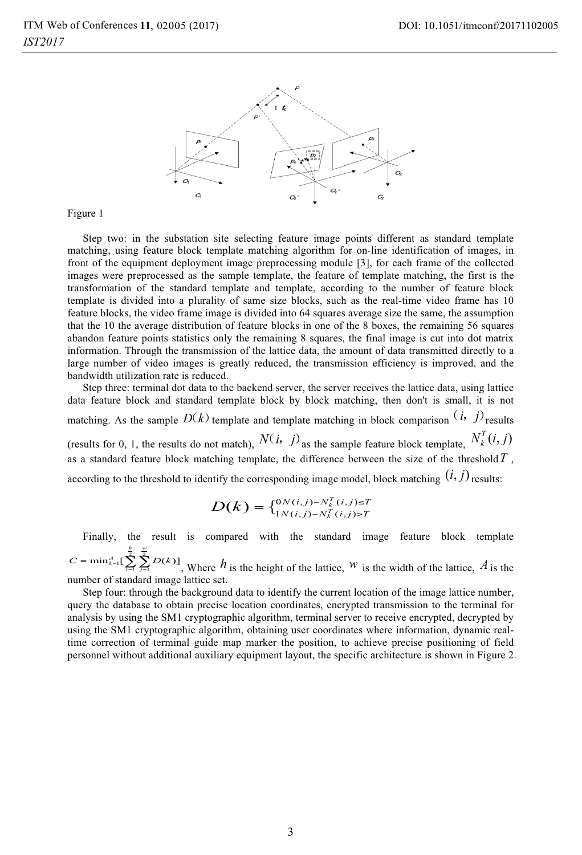

Figure 1

Step two: in the substation site selecting feature image points different as standard template matching, using feature block template matching algorithm for on-line identification of images, in front of the equipment deployment image preprocessing module [3], for each frame of the collected images were preprocessed as the sample template, the feature of template matching, the first is the transformation of the standard template and template, according to the number of feature block template is divided into a plurality of same size blocks, such as the real-time video frame has 10 feature blocks, the video frame image is divided into 64 squares average size the same, the assumption that the 10 the average distribution of feature blocks in one of the 8 boxes, the remaining 56 squares abandon feature points statistics only the remaining 8 squares, the final image is cut into dot matrix information. Through the transmission of the lattice data, the amount of data transmitted directly to a large number of video images is greatly reduced, the transmission efficiency is improved, and the bandwidth utilization rate is reduced.

Step three: terminal dot data to the backend server, the server receives the lattice data, using lattice data feature block and standard template block by block matching, then don't is small, it is not matching. As the sample  $D(k)$  template and template matching in block comparison  $(i, j)$  results (results for 0, 1, the results do not match),  $N(i, j)$  as the sample feature block template,  $N_k^T(i, j)$ as a standard feature block matching template, the difference between the size of the threshold*T* , according to the threshold to identify the corresponding image model, block matching  $(i, j)$  results:

$$
D(k) = \{ \begin{matrix} 0 & N(i,j) - N_k^T(i,j) \le T \\ 1 & N(i,j) - N_k^T(i,j) & > T \end{matrix}
$$

Finally, the result is compared with the standard image feature block template  $\min_{k=1}^A \Big[ \sum_{i=1}^B \sum_{j=1}^B D(k) \Big]$ *h w*  $C = \min_{k=1}^{A} \left[ \sum_{i=1}^{B} D(k) \right]$ , Where *h* is the height of the lattice, *W* is the width of the lattice, *A* is the number of standard image lattice set.

Step four: through the background data to identify the current location of the image lattice number, query the database to obtain precise location coordinates, encrypted transmission to the terminal for analysis by using the SM1 cryptographic algorithm, terminal server to receive encrypted, decrypted by using the SM1 cryptographic algorithm, obtaining user coordinates where information, dynamic realtime correction of terminal guide map marker the position, to achieve precise positioning of field personnel without additional auxiliary equipment layout, the specific architecture is shown in Figure 2.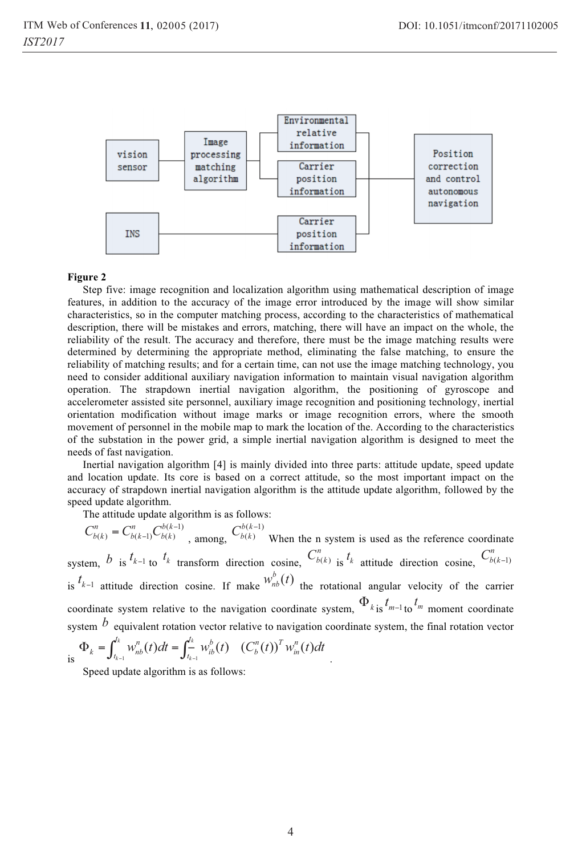

#### **Figure 2**

Step five: image recognition and localization algorithm using mathematical description of image features, in addition to the accuracy of the image error introduced by the image will show similar characteristics, so in the computer matching process, according to the characteristics of mathematical description, there will be mistakes and errors, matching, there will have an impact on the whole, the reliability of the result. The accuracy and therefore, there must be the image matching results were determined by determining the appropriate method, eliminating the false matching, to ensure the reliability of matching results; and for a certain time, can not use the image matching technology, you need to consider additional auxiliary navigation information to maintain visual navigation algorithm operation. The strapdown inertial navigation algorithm, the positioning of gyroscope and accelerometer assisted site personnel, auxiliary image recognition and positioning technology, inertial orientation modification without image marks or image recognition errors, where the smooth movement of personnel in the mobile map to mark the location of the. According to the characteristics of the substation in the power grid, a simple inertial navigation algorithm is designed to meet the needs of fast navigation.

Inertial navigation algorithm [4] is mainly divided into three parts: attitude update, speed update and location update. Its core is based on a correct attitude, so the most important impact on the accuracy of strapdown inertial navigation algorithm is the attitude update algorithm, followed by the speed update algorithm.

The attitude update algorithm is as follows:

 $(k-1)$  $C_{b(k)}^n = C_{b(k-1)}^n C_{b(k)}^{b(k-1)}$ , among,  $C_{b(k)}^{b(k-1)}$  $C_{b(k)}^{b(k-1)}$  When the n system is used as the reference coordinate system, *b* is  $t_{k-1}$  to  $t_k$  transform direction cosine,  $C_{b(k)}^n$  is  $t_k$  attitude direction cosine,  $C_{b(k-1)}^n$ is  $^{t_{k-1}}$  attitude direction cosine. If make  $w_{nb}^{b}(t)$  the rotational angular velocity of the carrier coordinate system relative to the navigation coordinate system,  $\Phi_{k}$  is  $t_{m-1}$  to  $t_m$  moment coordinate system *b* equivalent rotation vector relative to navigation coordinate system, the final rotation vector  $h$  *n*  $\omega$  *n*  $e^{t_k}$  *b*  $\omega$   $\omega$ *n*  $\omega$ <sup>T</sup> *n* 

$$
\int_{\text{is}} \Phi_k = \int_{t_{k-1}}^{t_k} w_{nb}^n(t) dt = \int_{t_{k-1}}^{t_k} w_{ib}^b(t) \quad (C_b^n(t))^T w_{in}^n(t) dt
$$

Speed update algorithm is as follows: